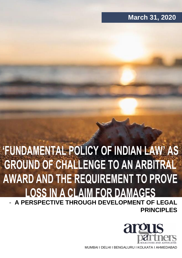## **March 31, 2020**

# **'FUNDAMENTAL POLICY OF INDIAN LAW' AS GROUND OF CHALLENGE TO AN ARBITRAL AWARD AND THE REQUIREMENT TO PROVE LOSS IN A CLAIM FOR DAMAGES** - **A PERSPECTIVE THROUGH DEVELOPMENT OF LEGAL PRINCIPLES**



MUMBAI I DELHI I BENGALURU I KOLKATA I AHMEDABAD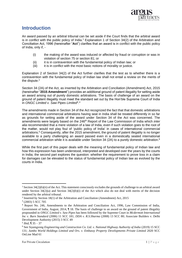

#### **Introduction**

An award passed by an arbitral tribunal can be set aside if the Court finds that the arbitral award is in conflict with the public policy of India.<sup>1</sup> Explanation 1 of Section 34(2) of the Arbitration and Conciliation Act, 1996 (hereinafter "**Act**") clarifies that an award is in conflict with the public policy of India, only if, -

- (i) the making of the award was induced or affected by fraud or corruption or was in violation of section 75 or section 81; or
- (ii) it is in contravention with the fundamental policy of Indian law; or
- (iii) it is in conflict with the most basic notions of morality or justice.

Explanation 2 of Section 34(2) of the Act further clarifies that the test as to whether there is a contravention with the fundamental policy of Indian law shall not entail a review on the merits of the dispute.<sup>2</sup>

Section 34 (2A) of the Act, as inserted by the Arbitration and Conciliation (Amendment) Act, 2015 (hereinafter "**2015 Amendment**") provides an additional ground of patent illegality for setting aside an award arising out of purely domestic arbitrations. The basis of challenge of an award on the ground of patent illegality must meet the standard set out by the Hon'ble Supreme Court of India in *ONGC Limited v. Saw Pipes Limited*<sup>3</sup> . 4

The amendments made in Section 34 of the Act recognized the fact that that domestic arbitrations and international commercial arbitrations having seat in India shall be treated differently in so far as grounds for setting aside of the award under Section 34 of the Act was concerned. The amendments were largely based on the 246<sup>th</sup> Report of the Law Commission of India which *inter alia* recommended that a mere violation of a law of India, even if such violation goes to the root of the matter, would not play foul of 'public policy of India' in cases of international commercial arbitrations.<sup>5</sup> Consequently, after the 2015 amendment, the ground of patent illegality is no longer available to a party challenging an award passed even in a domestically seated international commercial arbitration while it is available under Section 34 (2A) to a purely domestic arbitration.<sup>6</sup>

While the first part of this paper deals with the meaning of fundamental policy of Indian law and how this expression has been understood, interpreted and developed over the years by the courts in India; the second part explores the question: whether the requirement to prove loss in a claim for damages can be elevated to the status of fundamental policy of Indian law as evolved by the courts in India.

<sup>&</sup>lt;sup>1</sup> Section 34(2)(b)(ii) of the Act. This statement consciously excludes the grounds of challenge to an arbitral award under Section  $34(2)(a)$  and Section  $34(2)(b)(i)$  of the Act which also do not deal with merits of the decision rendered by the arbitral tribunal.

<sup>&</sup>lt;sup>2</sup> Inserted by Section 18(1) of the Arbitration and Conciliation (Amendment) Act, 2015

<sup>3</sup> (2003) 5 SCC 705

<sup>4</sup> Report No. 246, Amendments to the Arbitration and Conciliation Act, 1996, Law Commission of India, Government of India, August, 2014, ¶ 18. The basis of challenge to an award on the ground of patent illegality propounded in *ONGC Limited v. Saw Pipes* has been followed by the Supreme Court in *Mcdermott International Inc v. Burn Standard* (2006) 11 SCC 181; *DDA v. R.S.Sharma* (2008) 13 SCC 80; Associate Builders v. Delhi Development Authority (2015) 3 SCC 49

<sup>5</sup> *Ibid*, ¶ 35 – 37

<sup>6</sup> See *Ssyangyong Engineering and Construction Co. Ltd. v. National Highway Authority of India* (2019) 15 SCC 131; *Jumbo World Holdings Limited and Ors. v. Embassy Property Developments Private Limited* 2020 SCC OnLine Mad 61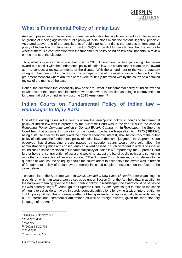

### **What is Fundamental Policy of Indian Law**

An award passed in an international commercial arbitration having its seat in India can be set aside on ground of it being against the public policy of India, albeit minus the "patent illegality" principle. As stated above, one of the constituents of public policy of India is the expression fundamental policy of Indian law. Explanation 2 of Section 34(2) of the Act further clarifies that the test as to whether there is a contravention with the fundamental policy of Indian law shall not entail a review on the merits of the dispute.

Thus, what is significant to note is that post the 2015 Amendment, while adjudicating whether an award is in conflict with the fundamental policy of Indian law, the courts cannot examine the award as if to conduct a review on merits of the dispute. With the amendment to the Act, a statutory safeguard has been put in place which is perhaps is one of the most significant change from the pre-amendment era where arbitral awards were routinely interfered with by the courts on a detailed review of the merits of the case.

Hence, the questions that essentially now arise are - what is fundamental policy of Indian law and to what extent the courts should interfere when an award is assailed as being in contravention to fundamental policy of Indian law post the 2015 Amendment?

#### **Indian Courts on Fundamental Policy of Indian law –** *Renusagar to Vijay Karia*

One of the leading cases in the country where the term "public policy of India" and fundamental policy of Indian law was interpreted by the Supreme Court was in the year 1993 in the case of *Renusagar Power Company Limited v. General Electric Company<sup>7</sup>* . In *Renusagar*, the Supreme Court held that an award in violation of the Foreign Exchange Regulation Act, 1973 ("**FERA**"), being a statute enacted to safeguard the national economic interest, shall be contrary to the public policy of India and the fundamental policy of Indian law. In the same judgment, the Supreme Court observed that disregarding orders passed by superior courts would adversely affect the administration of justice and consequently an award passed in such disregard to orders of superior courts shall also be a violation of fundamental policy of Indian law.<sup>8</sup> Importantly, the Supreme Court further held that contravention of law alone would not attract the bar of public policy and something more than contravention of law was required.<sup>9</sup> The Supreme Court, however, did not delve into the question of what course of inquiry should the courts adopt to ascertain if the award was in breach of fundamental policy of Indian law but merely indicated couple of instances on the facts of the case before it.

Ten years later, the Supreme Court in *ONGC Limited v. Saw Pipes Limited<sup>10</sup>*, after examining the grounds on which an award can be set aside under Section 34 of the Act, held that in addition to the narrower meaning given to the term "public policy" in *Renusagar*, the award could be set aside if it was patently illegal.<sup>11</sup> Although the Supreme Court in Saw Pipes sought to expand the scope of inquiry to set aside an award in purely domestic arbitrations by giving a wider interpretation to 'public policy', it had the unfortunate effect of being extended to apply equally to awards arising out of international commercial arbitrations as well as foreign awards, given the then statutory language of the Act.<sup>12</sup>

- 8 *Ibid*, ¶ 76 & 85
- 9 *Ibid*, ¶ 65
- <sup>10</sup> (2003) 5 SCC 705

<sup>7</sup> 1994 Supp (1) SCC 644

<sup>11</sup> *Ibid*, ¶ 31

<sup>12</sup> *Supra* note 4, ¶ 35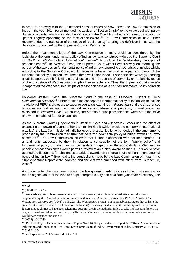

In order to do away with the unintended consequences of *Saw Pipes*, the Law Commission of India, in the year 2014, recommended the addition of Section 34 (2A) to the Act to deal with purely domestic awards, which may also be set aside if the Court finds that such award is vitiated by "patent illegality appearing on the face of the award."<sup>13</sup> The Law Commission of India further recommended the restriction of the scope of "public policy" to bring the definition in line with the definition propounded by the Supreme Court in *Renusagar*.

Before the recommendations of the Law Commission of India could be considered by the legislature, the term 'fundamental policy of Indian law' was construed widely by the Supreme Court in *ONGC v. Western Geco International Limited<sup>14</sup>* to include the Wednesbury principle of reasonableness<sup>15</sup>. In Western Geco, the Supreme Court without exhaustively enumerating the purport of the expression fundamental policy of Indian law referred to three juristic principles which, according to the Supreme Court, would necessarily be understood as a part and parcel of the fundamental policy of Indian law. These three well established juristic principles were: (i) adopting a judicial approach, (ii) following natural justice and (iii) absence of perversity or irrationality tested on the touchstone of Wednesbury principle of reasonableness. Thus, the Supreme Court *inter alia* incorporated the Wednesbury principle of reasonableness as a part of fundamental policy of Indian law.

Following *Western Geco*, the Supreme Court in the case of *Associate Builders v. Delhi Development Authority<sup>16</sup>* further fortified the concept of fundamental policy of Indian law to include - violation of FERA & disregard to superior courts (as explained in *Renusagar*) and the three juristic principles viz. judicial approach, natural justice and absence of perversity or irrationality (as explained in *Western Geco*). Of course, the aforesaid principles/instances were not exhaustive and were capable of further expansion.

As the Supreme Court's judgements in *Western Geco* and *Associate Builders* had the effect of expanding the power of courts rather than minimizing it (which would be contrary to international practice), the Law Commission of India believed that a clarification was needed in the amendments proposed by the Commission to ensure that the term fundamental policy of Indian law was narrowly construed.<sup>17</sup> The Law Commission believed that if such clarification was not incorporated, all amendments suggested by them in relation to construction of the term "public policy" and fundamental policy of Indian law will be rendered nugatory as the applicability of Wednesbury principle of reasonableness would permit a review of an arbitral award on merits. This would have opened the floodgates for challenges to arbitral awards on the ground of violation of fundamental policy of Indian law.<sup>18</sup> Eventually, the suggestions made by the Law Commission of India in the Supplementary Report were adopted and the Act was amended with effect from October 23, 2015.<sup>19</sup>

As fundamental changes were made in the law governing arbitrations in India, it was necessary for the highest court of the land to adopt, interpret, clarify and elucidate (wherever necessary) the

<sup>13</sup> *Ibid*

<sup>14</sup> (2014) 9 SCC 263

<sup>15</sup> Wednesbury principle of reasonableness is a fundamental principle in administrative law which was propounded by the Court of Appeal in England and Wales in *Associated Provincial Picture Houses Ltd. v Wednesbury Corporation* [1948] 1 KB 223. The Wednesbury principle of reasonableness states that to have the right to intervene, the courts shall have to conclude: (i) in making the decision, the authority took into account factors that ought not to have been taken into account, or (ii) the authority failed to take into account factors that ought to have been taken into account, or (iii) the decision was so unreasonable that no reasonable authority would ever consider imposing it.

<sup>16</sup> (2015) 3 SCC 49

<sup>&</sup>lt;sup>17</sup> "Public Policy" – Developments post – Report No. 246, Supplementary to Report No. 246 on Amendments to Arbitration and Conciliation Act, 1996, Law Commission of India, Government of India, February, 2015, ¶ 10.3 <sup>18</sup> *Ibid*, ¶ 10.5

<sup>19</sup> *See* Explanation 2 of Section 34 of the Act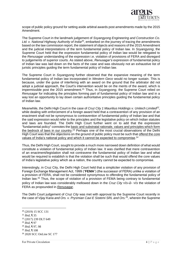

scope of public policy ground for setting aside arbitral awards post amendments made by the 2015 Amendment.

The Supreme Court in the landmark judgement of *Ssyangyong Engineering and Construction Co. Ltd. v. National Highway Authority of India<sup>20</sup>*, embarked on the journey of tracing the amendments based on the law commission report, the statement of objects and reasons of the 2015 Amendment and the judicial interpretations of the term fundamental policy of Indian law. In *Ssyangyong*, the Supreme Court held that the expression fundamental policy of Indian law would be relegated to the *Renusagar* understanding of the expression i.e. violation of provisions of FERA and disregard to judgements of superior courts. As stated above, *Renusagar's* expression of fundamental policy of Indian law was laid down on the facts of the case and was obviously not an exhaustive list of juristic principles guiding the term fundamental policy of Indian law.

The Supreme Court in *Ssyangyong* further observed that the expansive meaning of the term fundamental policy of Indian law incorporated in *Western Geco* would no longer sustain. This is because, under the guise of interfering with an award on the ground that the arbitrator did not adopt a judicial approach, the Court's intervention would be on the merits of the award, which is impermissible post the 2015 amendment.<sup>21</sup> Thus, in *Ssyangyong*, the Supreme Court relied on *Renusagar* for indicating the principles forming part of fundamental policy of Indian law and in a way lost an opportunity to lay down certain authoritative principles guiding the fundamental policy of Indian law.

Meanwhile, the Delhi High Court in the case of *Cruz City 1 Mauritius Holdings v. Unitech Limited<sup>22</sup> ,* while dealing with enforcement of a foreign award held that a contravention of any provision of an enactment shall not be synonymous to contravention of fundamental policy of Indian law and that the said expression would refer to the principles and the legislative policy on which Indian statutes and laws are founded. The Delhi High Court further went on to add that the expression "fundamental policy" connotes the basic and substratal rationale, values and principles which form the bedrock of laws in our country.<sup>23</sup> Perhaps one of the most crucial observations of the Delhi High Court was that the objections on the ground of public policy must be such that <u>offend the core</u> values of India's national policy and which it cannot be expected to compromise. 24

Thus, the Delhi High Court, sought to provide a much more narrowed down definition of what would constitute a violation of fundamental policy of Indian law. It was clarified that mere contravention of an enactment/legislation shall not contravene the fundamental policy of Indian law and what would be required to establish is that the violation shall be such that would offend the core values of India's legislative policy which as a nation, the country cannot be expected to compromise.

Interestingly, in Cruz City, the Delhi High Court held that a simpliciter violation of any provision of Foreign Exchange Management Act, 1999 ("**FEMA**") (the successor of FERA) unlike a violation of a provision of FERA, shall not be considered synonymous to offending the fundamental policy of Indian law.<sup>25</sup> Thus, the scope of violation of a provision of FEMA being contrary to fundamental policy of Indian law was considerably mellowed down in the *Cruz City vis-à- vis* the violation of FERA as propounded in *Renusagar*.

The Delhi Court judgement of *Cruz City* was met with approval by the Supreme Court recently in the case of *Vijay Karia and Ors. v. Prysmian Cavi E Sistemi SRL and Ors.<sup>26</sup> ,* wherein the Supreme

<sup>23</sup> *Ibid*, ¶ 97

 $^{25}$  *Ibid*,  $\frac{1}{9}$  108

<sup>20</sup> (2019) 15 SCC 131

<sup>21</sup> *Ibid,* ¶ 35

<sup>22</sup> (2017) 239 DLT 649

<sup>24</sup> *Ibid*, ¶ 97, 98

<sup>26</sup> 2020 SCC OnLine SC 177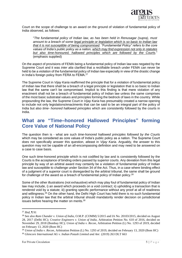

Court on the scope of challenge to an award on the ground of violation of fundamental policy of India observed, as follows:

"*The fundamental policy of Indian law, as has been held in Renusagar (supra), must amount to a breach of some legal principle or legislation which is so basic to Indian law that it is not susceptible of being compromised. "Fundamental Policy" refers to the core values of India's public policy as a nation, which may find expression not only in statutes but also time-honoured, hallowed principles which are followed by the Courts.*" (emphasis supplied)

On the aspect of provisions of FEMA being a fundamental policy of Indian law was negated by the Supreme Court and it was *inter alia* clarified that a rectifiable breach under FEMA can never be held to be a violation of the fundamental policy of Indian law especially in view of the drastic change in India's foreign policy from FERA to FEMA.<sup>27</sup>

The Supreme Court in *Vijay Karia* reaffirmed the principle that for a violation of fundamental policy of Indian law that there shall be a breach of a legal principle or legislation that is so basic to Indian law that the same can't be compromised. Implicit to this finding is that mere violation of any enactment shall not be a breach of fundamental policy of Indian law unless the same comprises of the most basic substratal values and principles forming the bedrock of laws in the country. While propounding the law, the Supreme Court in *Vijay Karia* has presumably created a narrow opening to include not only legislations/enactments that can be said to be an integral part of the policy of India but also *time- honored hallowed principles* which are consistently followed by the courts in India.

#### **What are "Time–honored Hallowed Principles" forming Core Value of National Policy**

The question then is - what are such *time-honored hallowed principles followed by the Courts* which may be considered as core values of India's public policy as a nation. The Supreme Court does not specifically answer this question, atleast in *Vijay Karia*. Arguably, the answer to this question may not be capable of an all-encompassing definition and may need to be answered on a case to case basis.

One such time-honored principle which is not codified by law and is consistently followed by the Courts is the acceptance of binding orders passed by superior courts. Any deviation from this legal principle by way of an arbitral award may certainly be a violation of fundamental policy of Indian law and susceptible to challenge under Section 34 of the Act. Thus, in a case where binding effect of a judgment of a superior court is disregarded by the arbitral tribunal, the same shall be ground for challenge of the award as a breach of fundamental policy of Indian policy.<sup>28</sup>

Some of the other illustrations (not exhaustive) which may play foul of fundamental policy of Indian law may include, i) an award which proceeds on a void contract; ii) upholding a transaction that is rendered void by a statute; iii) granting specific performance without any proof at all of readiness and willingness.<sup>29</sup> On the other hand, the Delhi High Court has held there is no such fundamental policy in Indian law that the arbitral tribunal should mandatorily render decision on jurisdictional issues before hearing the matter on merits.<sup>30</sup>

<sup>27</sup> *Ibid,* ¶ 91

<sup>&</sup>lt;sup>28</sup> See also *Ram Chander v. Union of India*, O.M.P. (COMM) 5/2015 and IA No. 20103/2015, decided on August 28, 2017 (Delhi HC); *Creative Engineers v. Union of India*, Arbitration Petition No. 610 of 2016, decided on November 29, 2018 (Bombay HC); *Union of India v. Recon,* Arbitration Petition (L) No. 1293 of 2019, decided on February 13, 2020 (Bom HC)

<sup>29</sup> *Union of India v. Recon,* Arbitration Petition (L) No. 1293 of 2019, decided on February 13, 2020 (Bom HC) <sup>30</sup> *Glencore International AG v. Indian Potash Limited and Anr.* (2019) 263 DLT 663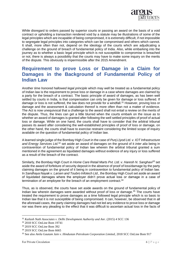

While disregard to orders passed by superior courts or passing an award on the basis of a void contract or upholding a transaction rendered void by a statute may be illustrations of some of the legal principles which are incapable of being compromised, it is extremely difficult, if not impossible to segregate legal principles into categories which can be compromised and others which cannot. It shall, more often than not, depend on the ideology of the courts which are adjudicating a challenge on the ground of breach of fundamental policy of India. Also, while embarking into the journey as to whether a basic legal principle which is not susceptible to compromise is breached or not, there is always a possibility that the courts may have to make some inquiry on the merits of the dispute. This obviously is impermissible after the 2015 Amendment.

#### **Requirement to prove Loss or Damage in a Claim for Damages in the Background of Fundamental Policy of Indian Law**

Another *time honored hallowed legal principle* which may well be treated as a fundamental policy of Indian law is the requirement to prove loss or damage in a case where damages are claimed by a party for the breach of a contract. The basic principle of award of damages, as has been well settled by courts in India, is that compensation can only be given for damage or loss suffered. If damage or loss is not suffered, the law does not provide for a windfall.<sup>31</sup> However, proving loss or damage and the assessment & calculation thereof is more often than not a matter of evidence. The Act is now unequivocal that a challenge to the award shall not entail a review on the merits of the dispute. Thus, the lines can get a little blurred when the courts embark on the issue as to whether an award of damages is granted after following the well settled principles of proof of actual loss or damage. While on one hand, the courts shall have to consider that the arbitral tribunal passes its award after considering the well-established principles of proof of loss or damage, on the other hand, the courts shall have to exercise restraint considering the limited scope of inquiry available on the question of fundamental policy of Indian law.

A learned single judge of the Bombay High Court in the case of *Punj Llyod Ltd. v. IOT Infrastructure and Energy Services Ltd.*<sup>32</sup> set aside an award of damages on the ground of it *inter alia* being in contravention of fundamental policy of Indian law wherein the arbitral tribunal granted a sum mentioned in the agreement as liquidated damages without evidence of any injury or loss suffered as a result of the breach of the contract.

Similarly, the Bombay High Court in *Home Care Retail Marts Pvt. Ltd. v. Haresh N. Sanghavi<sup>33</sup>* set aside the award of forfeiture of security deposit in the absence of proof of loss/damage by the party claiming damages on the ground of it being in contravention to fundamental policy of Indian law. In *Sandhaya Nayak v. Larsen and Toubro Infotech Ltd.,* the Bombay High Court set aside an award of liquidated damages where the employer didn't prove actual loss or damage in a case of termination of an employee for the breach of an employment contract.<sup>34</sup>

Thus, as is observed, the courts have set aside awards on the ground of fundamental policy of Indian law wherein damages were awarded without proof of loss or damage.<sup>35</sup> The courts have treated the requirement to prove damages as a time followed legal principle which is so basic to Indian law that it is not susceptible of being compromised. It can, however, be observed that in all the aforesaid cases, the party claiming damages had not led any evidence to prove loss or damage nor was there any pleading to the effect that it was difficult to ascertain actual loss in the facts of

<sup>31</sup> *Kailash Nath Associates v. Delhi Development Authority and Anr.* (2015) 4 SCC 136

<sup>32</sup> 2018 SCC OnLine Bom 19741

<sup>33</sup> 2019 SCC OnLine Bom 392

<sup>34</sup> 2019 SCC OnLine Bom 6665

<sup>35</sup> See also *Anila Gautam Jain v. Hindustan Petroleum Corporation Limited*, 2018 SCC OnLine Bom 917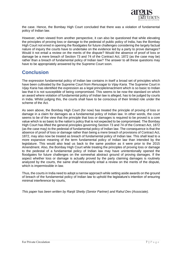

the case. Hence, the Bombay High Court concluded that there was a violation of fundamental policy of Indian law.

However, when viewed from another perspective, it can also be questioned that while elevating the principles of proving loss or damage to the pedestal of public policy of India, has the Bombay High Court not erred in opening the floodgates for future challenges considering the largely factual nature of inquiry the courts have to undertake on the evidence led by a party to prove damages? Would it not entail a review on the merits of the dispute? Would the absence of proof of loss or damage be a mere breach of Section 73 and 74 of the Contract Act, 1872 (as the case may be) rather than a breach of fundamental policy of Indian law? The answer to all these questions may have to be appropriately answered by the Supreme Court soon.

#### **Conclusion**

The expression fundamental policy of Indian law contains in itself a broad set of principles which have been cultivated by the Supreme Court from *Renusagar* to *Vijay Karia.* The Supreme Court in *Vijay Karia* has identified the expression as a legal principle/enactment which is so basic to Indian law that it is not susceptible of being compromised. This seems to be now the standard on which an award where violation of fundamental policy of Indian law is alleged, has to be judged by courts in India. Whilst judging this, the courts shall have to be conscious of their limited role under the scheme of the Act.

As seen above, the Bombay High Court (for now) has treated the principle of proving of loss or damage in a claim for damages as a fundamental policy of Indian law. In other words, the court seems to be of the view that the principle that loss or damages is required to be proved is a core value which is so basic to the nation's policy that is not expected to be compromised. The Bombay High Court has lifted the general principles governing Section 73 and 74 of the Contract Act, 1872 (as the case may) to the pedestal of fundamental policy of Indian law. The consequence is that the absence of proof of loss or damage rather than being a mere breach of provisions of Contract Act, 1872, may also now be treated as breach of fundamental policy of Indian law. This shall lead to a more expansive meaning of the term fundamental policy of Indian law than intended by the legislature. This would also lead us back to the same position as it were prior to the 2015 Amendment. Also, the Bombay High Court while treating the principles of proving loss or damage to the pedestal of a fundamental policy of Indian law may have unintentionally opened the floodgates for future challenges on the somewhat abstract ground of proving damages. If the aspect whether loss or damage is actually proved by the party claiming damages is routinely analyzed by the courts, the same shall necessarily entail a review on the merits of the dispute, which is impermissible in law.

Thus, the courts in India need to adopt a narrow approach while setting aside awards on the ground of breach of the fundamental policy of Indian law to uphold the legislature's intention of ensuring minimal interference by courts,

*This paper has been written by Ranjit Shetty (Senior Partner) and Rahul Dev (Associate).*